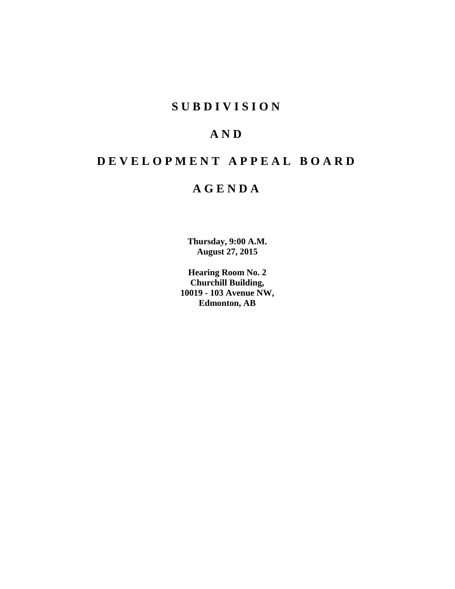# **S U B D I V I S I O N**

# **A N D**

# **D E V E L O P M E N T A P P E A L B O A R D**

# **A G E N D A**

**Thursday, 9:00 A.M. August 27, 2015**

**Hearing Room No. 2 Churchill Building, 10019 - 103 Avenue NW, Edmonton, AB**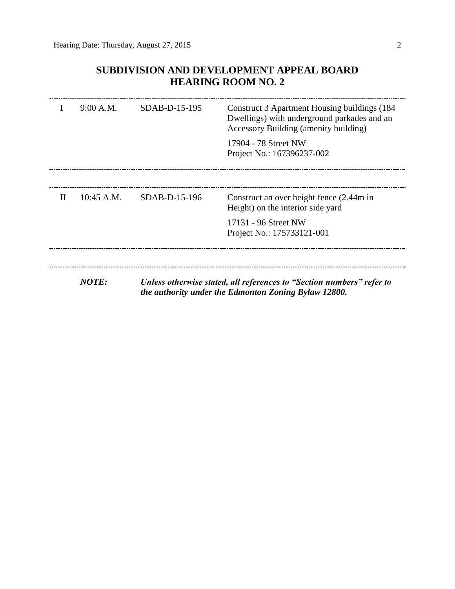# **SUBDIVISION AND DEVELOPMENT APPEAL BOARD HEARING ROOM NO. 2**

|   | 9:00 A.M.    | $SDAB-D-15-195$ | Construct 3 Apartment Housing buildings (184)<br>Dwellings) with underground parkades and an<br>Accessory Building (amenity building)<br>17904 - 78 Street NW<br>Project No.: 167396237-002 |
|---|--------------|-----------------|---------------------------------------------------------------------------------------------------------------------------------------------------------------------------------------------|
| H | $10:45$ A.M. | $SDAB-D-15-196$ | Construct an over height fence (2.44m in<br>Height) on the interior side yard<br>17131 - 96 Street NW<br>Project No.: 175733121-001                                                         |
|   | NOTE:        |                 | Unless otherwise stated, all references to "Section numbers" refer to<br>the authority under the Edmonton Zoning Bylaw 12800.                                                               |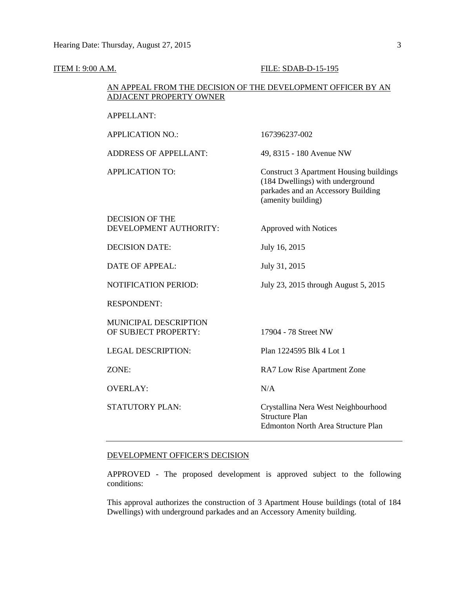#### **ITEM I: 9:00 A.M. FILE: SDAB-D-15-195**

# AN APPEAL FROM THE DECISION OF THE DEVELOPMENT OFFICER BY AN ADJACENT PROPERTY OWNER

## APPELLANT:

APPLICATION NO.: 167396237-002 ADDRESS OF APPELLANT: 49, 8315 - 180 Avenue NW APPLICATION TO: Construct 3 Apartment Housing buildings (184 Dwellings) with underground parkades and an Accessory Building (amenity building) DECISION OF THE DEVELOPMENT AUTHORITY: Approved with Notices DECISION DATE: July 16, 2015 DATE OF APPEAL: July 31, 2015 NOTIFICATION PERIOD: July 23, 2015 through August 5, 2015 RESPONDENT: MUNICIPAL DESCRIPTION OF SUBJECT PROPERTY: 17904 - 78 Street NW LEGAL DESCRIPTION: Plan 1224595 Blk 4 Lot 1 ZONE: RA7 Low Rise Apartment Zone OVERLAY: N/A STATUTORY PLAN: Crystallina Nera West Neighbourhood Structure Plan Edmonton North Area Structure Plan

## DEVELOPMENT OFFICER'S DECISION

APPROVED - The proposed development is approved subject to the following conditions:

This approval authorizes the construction of 3 Apartment House buildings (total of 184 Dwellings) with underground parkades and an Accessory Amenity building.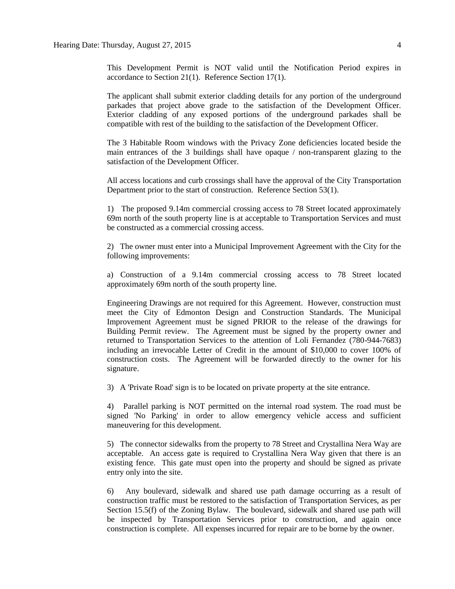This Development Permit is NOT valid until the Notification Period expires in accordance to Section 21(1). Reference Section 17(1).

The applicant shall submit exterior cladding details for any portion of the underground parkades that project above grade to the satisfaction of the Development Officer. Exterior cladding of any exposed portions of the underground parkades shall be compatible with rest of the building to the satisfaction of the Development Officer.

The 3 Habitable Room windows with the Privacy Zone deficiencies located beside the main entrances of the 3 buildings shall have opaque / non-transparent glazing to the satisfaction of the Development Officer.

All access locations and curb crossings shall have the approval of the City Transportation Department prior to the start of construction. Reference Section 53(1).

1) The proposed 9.14m commercial crossing access to 78 Street located approximately 69m north of the south property line is at acceptable to Transportation Services and must be constructed as a commercial crossing access.

2) The owner must enter into a Municipal Improvement Agreement with the City for the following improvements:

a) Construction of a 9.14m commercial crossing access to 78 Street located approximately 69m north of the south property line.

Engineering Drawings are not required for this Agreement. However, construction must meet the City of Edmonton Design and Construction Standards. The Municipal Improvement Agreement must be signed PRIOR to the release of the drawings for Building Permit review. The Agreement must be signed by the property owner and returned to Transportation Services to the attention of Loli Fernandez (780-944-7683) including an irrevocable Letter of Credit in the amount of \$10,000 to cover 100% of construction costs. The Agreement will be forwarded directly to the owner for his signature.

3) A 'Private Road' sign is to be located on private property at the site entrance.

4) Parallel parking is NOT permitted on the internal road system. The road must be signed 'No Parking' in order to allow emergency vehicle access and sufficient maneuvering for this development.

5) The connector sidewalks from the property to 78 Street and Crystallina Nera Way are acceptable. An access gate is required to Crystallina Nera Way given that there is an existing fence. This gate must open into the property and should be signed as private entry only into the site.

6) Any boulevard, sidewalk and shared use path damage occurring as a result of construction traffic must be restored to the satisfaction of Transportation Services, as per Section 15.5(f) of the Zoning Bylaw. The boulevard, sidewalk and shared use path will be inspected by Transportation Services prior to construction, and again once construction is complete. All expenses incurred for repair are to be borne by the owner.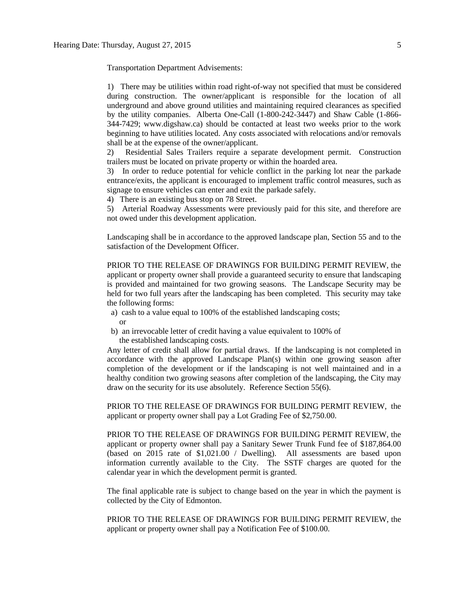Transportation Department Advisements:

1) There may be utilities within road right-of-way not specified that must be considered during construction. The owner/applicant is responsible for the location of all underground and above ground utilities and maintaining required clearances as specified by the utility companies. Alberta One-Call (1-800-242-3447) and Shaw Cable (1-866- 344-7429; www.digshaw.ca) should be contacted at least two weeks prior to the work beginning to have utilities located. Any costs associated with relocations and/or removals shall be at the expense of the owner/applicant.

2) Residential Sales Trailers require a separate development permit. Construction trailers must be located on private property or within the hoarded area.

3) In order to reduce potential for vehicle conflict in the parking lot near the parkade entrance/exits, the applicant is encouraged to implement traffic control measures, such as signage to ensure vehicles can enter and exit the parkade safely.

4) There is an existing bus stop on 78 Street.

5) Arterial Roadway Assessments were previously paid for this site, and therefore are not owed under this development application.

Landscaping shall be in accordance to the approved landscape plan, Section 55 and to the satisfaction of the Development Officer.

PRIOR TO THE RELEASE OF DRAWINGS FOR BUILDING PERMIT REVIEW, the applicant or property owner shall provide a guaranteed security to ensure that landscaping is provided and maintained for two growing seasons. The Landscape Security may be held for two full years after the landscaping has been completed. This security may take the following forms:

- a) cash to a value equal to 100% of the established landscaping costs; or
- b) an irrevocable letter of credit having a value equivalent to 100% of the established landscaping costs.

Any letter of credit shall allow for partial draws. If the landscaping is not completed in accordance with the approved Landscape Plan(s) within one growing season after completion of the development or if the landscaping is not well maintained and in a healthy condition two growing seasons after completion of the landscaping, the City may draw on the security for its use absolutely. Reference Section 55(6).

PRIOR TO THE RELEASE OF DRAWINGS FOR BUILDING PERMIT REVIEW, the applicant or property owner shall pay a Lot Grading Fee of \$2,750.00.

PRIOR TO THE RELEASE OF DRAWINGS FOR BUILDING PERMIT REVIEW, the applicant or property owner shall pay a Sanitary Sewer Trunk Fund fee of \$187,864.00 (based on 2015 rate of \$1,021.00 / Dwelling). All assessments are based upon information currently available to the City. The SSTF charges are quoted for the calendar year in which the development permit is granted.

The final applicable rate is subject to change based on the year in which the payment is collected by the City of Edmonton.

PRIOR TO THE RELEASE OF DRAWINGS FOR BUILDING PERMIT REVIEW, the applicant or property owner shall pay a Notification Fee of \$100.00.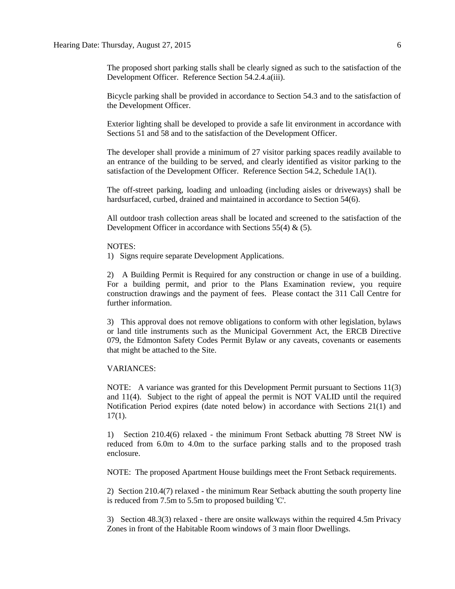The proposed short parking stalls shall be clearly signed as such to the satisfaction of the Development Officer. Reference Section 54.2.4.a(iii).

Bicycle parking shall be provided in accordance to Section 54.3 and to the satisfaction of the Development Officer.

Exterior lighting shall be developed to provide a safe lit environment in accordance with Sections 51 and 58 and to the satisfaction of the Development Officer.

The developer shall provide a minimum of 27 visitor parking spaces readily available to an entrance of the building to be served, and clearly identified as visitor parking to the satisfaction of the Development Officer. Reference Section 54.2, Schedule 1A(1).

The off-street parking, loading and unloading (including aisles or driveways) shall be hardsurfaced, curbed, drained and maintained in accordance to Section 54(6).

All outdoor trash collection areas shall be located and screened to the satisfaction of the Development Officer in accordance with Sections 55(4)  $\&$  (5).

#### NOTES:

1) Signs require separate Development Applications.

2) A Building Permit is Required for any construction or change in use of a building. For a building permit, and prior to the Plans Examination review, you require construction drawings and the payment of fees. Please contact the 311 Call Centre for further information.

3) This approval does not remove obligations to conform with other legislation, bylaws or land title instruments such as the Municipal Government Act, the ERCB Directive 079, the Edmonton Safety Codes Permit Bylaw or any caveats, covenants or easements that might be attached to the Site.

## VARIANCES:

NOTE: A variance was granted for this Development Permit pursuant to Sections 11(3) and 11(4). Subject to the right of appeal the permit is NOT VALID until the required Notification Period expires (date noted below) in accordance with Sections 21(1) and 17(1).

1) Section 210.4(6) relaxed - the minimum Front Setback abutting 78 Street NW is reduced from 6.0m to 4.0m to the surface parking stalls and to the proposed trash enclosure.

NOTE: The proposed Apartment House buildings meet the Front Setback requirements.

2) Section 210.4(7) relaxed - the minimum Rear Setback abutting the south property line is reduced from 7.5m to 5.5m to proposed building 'C'.

3) Section 48.3(3) relaxed - there are onsite walkways within the required 4.5m Privacy Zones in front of the Habitable Room windows of 3 main floor Dwellings.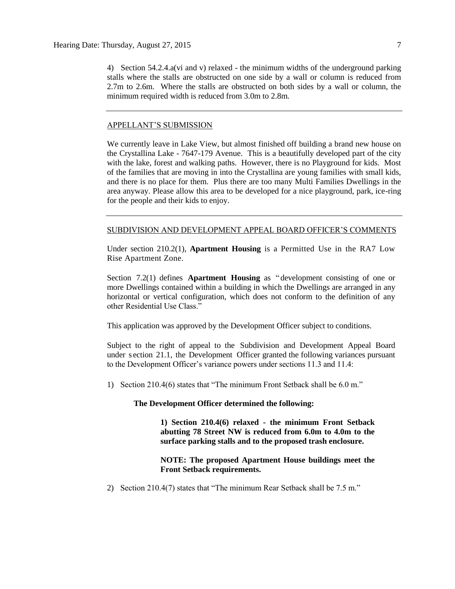4) Section 54.2.4.a(vi and v) relaxed - the minimum widths of the underground parking stalls where the stalls are obstructed on one side by a wall or column is reduced from 2.7m to 2.6m. Where the stalls are obstructed on both sides by a wall or column, the minimum required width is reduced from 3.0m to 2.8m.

#### APPELLANT'S SUBMISSION

We currently leave in Lake View, but almost finished off building a brand new house on the Crystallina Lake - 7647-179 Avenue. This is a beautifully developed part of the city with the lake, forest and walking paths. However, there is no Playground for kids. Most of the families that are moving in into the Crystallina are young families with small kids, and there is no place for them. Plus there are too many Multi Families Dwellings in the area anyway. Please allow this area to be developed for a nice playground, park, ice-ring for the people and their kids to enjoy.

#### SUBDIVISION AND DEVELOPMENT APPEAL BOARD OFFICER'S COMMENTS

Under section 210.2(1), **Apartment Housing** is a Permitted Use in the RA7 Low Rise Apartment Zone.

Section 7.2(1) defines **Apartment Housing** as " development consisting of one or more Dwellings contained within a building in which the Dwellings are arranged in any horizontal or vertical configuration, which does not conform to the definition of any other Residential Use Class."

This application was approved by the Development Officer subject to conditions.

Subject to the right of appeal to the Subdivision and Development Appeal Board under s ection 21.1, the Development Officer granted the following variances pursuant to the Development Officer's variance powers under sections 11.3 and 11.4:

1) Section 210.4(6) states that "The minimum Front Setback shall be 6.0 m."

## **The Development Officer determined the following:**

**1) Section 210.4(6) relaxed - the minimum Front Setback abutting 78 Street NW is reduced from 6.0m to 4.0m to the surface parking stalls and to the proposed trash enclosure.**

# **NOTE: The proposed Apartment House buildings meet the Front Setback requirements.**

2) Section 210.4(7) states that "The minimum Rear Setback shall be 7.5 m."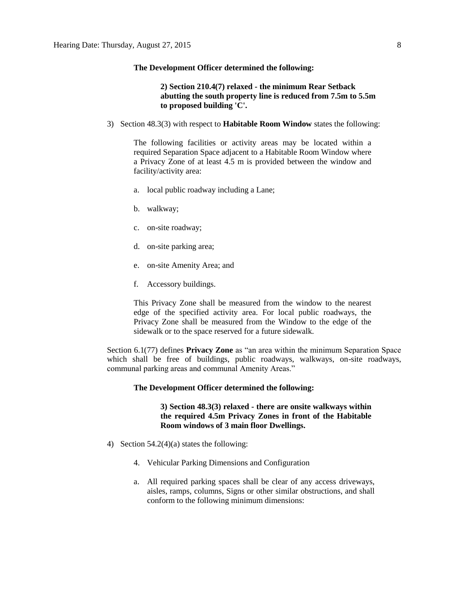#### **The Development Officer determined the following:**

# **2) Section 210.4(7) relaxed - the minimum Rear Setback abutting the south property line is reduced from 7.5m to 5.5m to proposed building 'C'.**

3) Section 48.3(3) with respect to **Habitable Room Window** states the following:

The following facilities or activity areas may be located within a required Separation Space adjacent to a Habitable Room Window where a Privacy Zone of at least 4.5 m is provided between the window and facility/activity area:

- a. local public roadway including a Lane;
- b. walkway;
- c. on-site roadway;
- d. on-site parking area;
- e. on-site Amenity Area; and
- f. Accessory buildings.

This Privacy Zone shall be measured from the window to the nearest edge of the specified activity area. For local public roadways, the Privacy Zone shall be measured from the Window to the edge of the sidewalk or to the space reserved for a future sidewalk.

Section 6.1(77) defines **Privacy Zone** as "an area within the minimum Separation Space which shall be free of buildings, public roadways, walkways, on-site roadways, communal parking areas and communal Amenity Areas."

#### **The Development Officer determined the following:**

# **3) Section 48.3(3) relaxed - there are onsite walkways within the required 4.5m Privacy Zones in front of the Habitable Room windows of 3 main floor Dwellings.**

- 4) Section 54.2(4)(a) states the following:
	- 4. Vehicular Parking Dimensions and Configuration
	- a. All required parking spaces shall be clear of any access driveways, aisles, ramps, columns, Signs or other similar obstructions, and shall conform to the following minimum dimensions: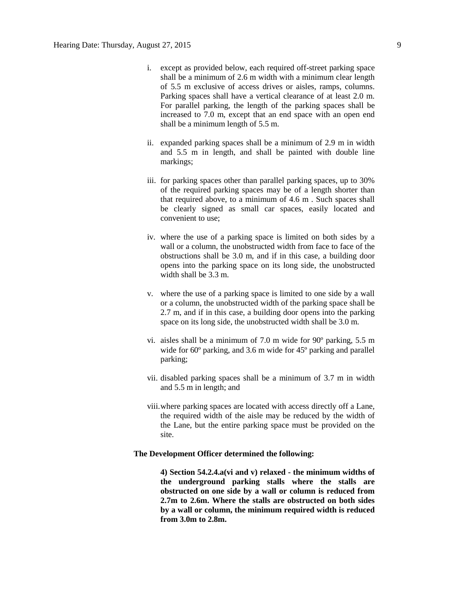- i. except as provided below, each required off-street parking space shall be a minimum of 2.6 m width with a minimum clear length of 5.5 m exclusive of access drives or aisles, ramps, columns. Parking spaces shall have a vertical clearance of at least 2.0 m. For parallel parking, the length of the parking spaces shall be increased to 7.0 m, except that an end space with an open end shall be a minimum length of 5.5 m.
- ii. expanded parking spaces shall be a minimum of 2.9 m in width and 5.5 m in length, and shall be painted with double line markings;
- iii. for parking spaces other than parallel parking spaces, up to 30% of the required parking spaces may be of a length shorter than that required above, to a minimum of 4.6 m . Such spaces shall be clearly signed as small car spaces, easily located and convenient to use;
- iv. where the use of a parking space is limited on both sides by a wall or a column, the unobstructed width from face to face of the obstructions shall be 3.0 m, and if in this case, a building door opens into the parking space on its long side, the unobstructed width shall be  $3.\overline{3}$  m.
- v. where the use of a parking space is limited to one side by a wall or a column, the unobstructed width of the parking space shall be 2.7 m, and if in this case, a building door opens into the parking space on its long side, the unobstructed width shall be 3.0 m.
- vi. aisles shall be a minimum of 7.0 m wide for 90º parking, 5.5 m wide for 60<sup>°</sup> parking, and 3.6 m wide for 45<sup>°</sup> parking and parallel parking;
- vii. disabled parking spaces shall be a minimum of 3.7 m in width and 5.5 m in length; and
- viii.where parking spaces are located with access directly off a Lane, the required width of the aisle may be reduced by the width of the Lane, but the entire parking space must be provided on the site.

# **The Development Officer determined the following:**

**4) Section 54.2.4.a(vi and v) relaxed - the minimum widths of the underground parking stalls where the stalls are obstructed on one side by a wall or column is reduced from 2.7m to 2.6m. Where the stalls are obstructed on both sides by a wall or column, the minimum required width is reduced from 3.0m to 2.8m.**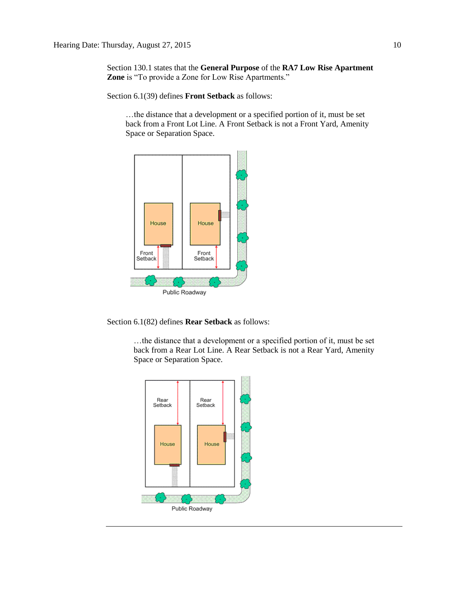Section 130.1 states that the **General Purpose** of the **RA7 Low Rise Apartment Zone** is "To provide a Zone for Low Rise Apartments."

Section 6.1(39) defines **Front Setback** as follows:

…the distance that a development or a specified portion of it, must be set back from a Front Lot Line. A Front Setback is not a Front Yard, Amenity Space or Separation Space.



Section 6.1(82) defines **Rear Setback** as follows:

…the distance that a development or a specified portion of it, must be set back from a Rear Lot Line. A Rear Setback is not a Rear Yard, Amenity Space or Separation Space.

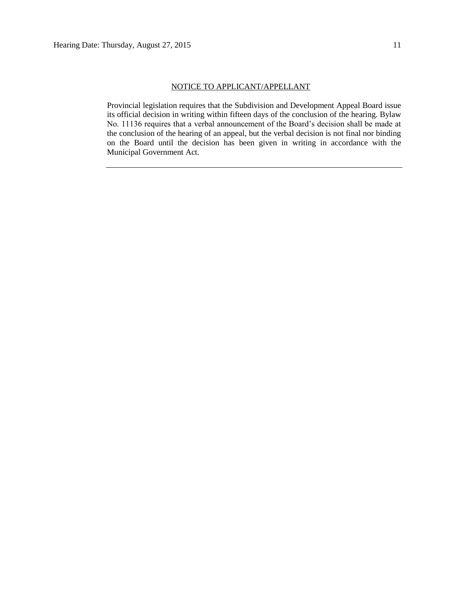## NOTICE TO APPLICANT/APPELLANT

Provincial legislation requires that the Subdivision and Development Appeal Board issue its official decision in writing within fifteen days of the conclusion of the hearing. Bylaw No. 11136 requires that a verbal announcement of the Board's decision shall be made at the conclusion of the hearing of an appeal, but the verbal decision is not final nor binding on the Board until the decision has been given in writing in accordance with the Municipal Government Act.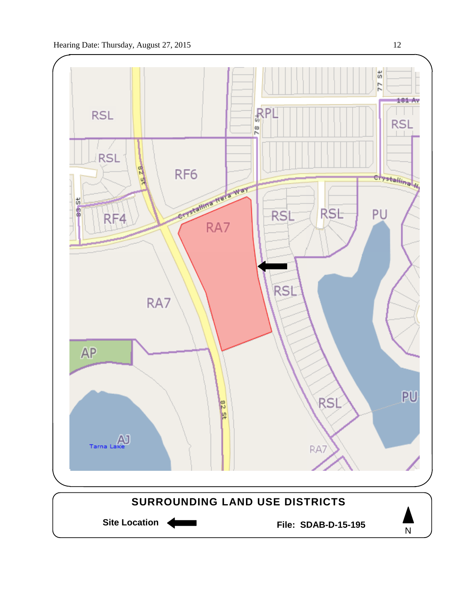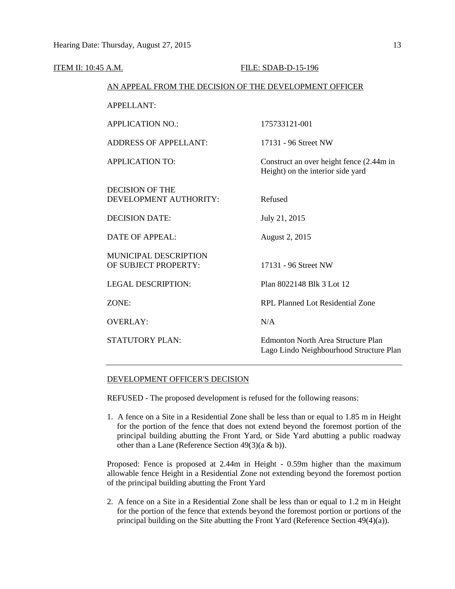| ITEM II: 10:45 A.M. |                                                        | FILE: SDAB-D-15-196                                                                  |
|---------------------|--------------------------------------------------------|--------------------------------------------------------------------------------------|
|                     | AN APPEAL FROM THE DECISION OF THE DEVELOPMENT OFFICER |                                                                                      |
|                     | <b>APPELLANT:</b>                                      |                                                                                      |
|                     | <b>APPLICATION NO.:</b>                                | 175733121-001                                                                        |
|                     | <b>ADDRESS OF APPELLANT:</b>                           | 17131 - 96 Street NW                                                                 |
|                     | <b>APPLICATION TO:</b>                                 | Construct an over height fence (2.44m in<br>Height) on the interior side yard        |
|                     | <b>DECISION OF THE</b><br>DEVELOPMENT AUTHORITY:       | Refused                                                                              |
|                     | <b>DECISION DATE:</b>                                  | July 21, 2015                                                                        |
|                     | <b>DATE OF APPEAL:</b>                                 | August 2, 2015                                                                       |
|                     | MUNICIPAL DESCRIPTION<br>OF SUBJECT PROPERTY:          | 17131 - 96 Street NW                                                                 |
|                     | <b>LEGAL DESCRIPTION:</b>                              | Plan 8022148 Blk 3 Lot 12                                                            |
|                     | ZONE:                                                  | <b>RPL Planned Lot Residential Zone</b>                                              |
|                     | <b>OVERLAY:</b>                                        | N/A                                                                                  |
|                     | <b>STATUTORY PLAN:</b>                                 | <b>Edmonton North Area Structure Plan</b><br>Lago Lindo Neighbourhood Structure Plan |
|                     |                                                        |                                                                                      |

# DEVELOPMENT OFFICER'S DECISION

REFUSED - The proposed development is refused for the following reasons:

1. A fence on a Site in a Residential Zone shall be less than or equal to 1.85 m in Height for the portion of the fence that does not extend beyond the foremost portion of the principal building abutting the Front Yard, or Side Yard abutting a public roadway other than a Lane (Reference Section 49(3)(a & b)).

Proposed: Fence is proposed at 2.44m in Height - 0.59m higher than the maximum allowable fence Height in a Residential Zone not extending beyond the foremost portion of the principal building abutting the Front Yard

2. A fence on a Site in a Residential Zone shall be less than or equal to 1.2 m in Height for the portion of the fence that extends beyond the foremost portion or portions of the principal building on the Site abutting the Front Yard (Reference Section 49(4)(a)).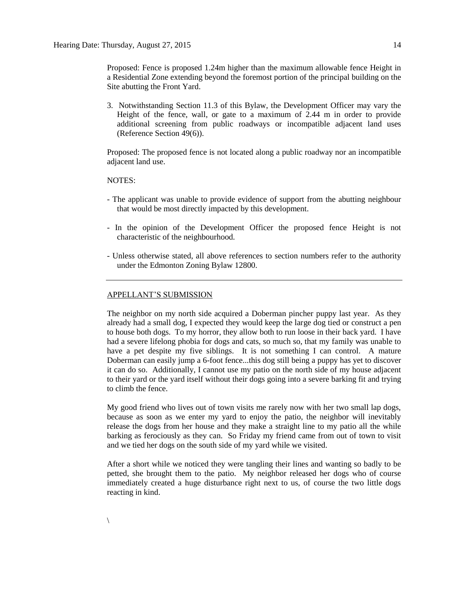Proposed: Fence is proposed 1.24m higher than the maximum allowable fence Height in a Residential Zone extending beyond the foremost portion of the principal building on the Site abutting the Front Yard.

3. Notwithstanding Section 11.3 of this Bylaw, the Development Officer may vary the Height of the fence, wall, or gate to a maximum of 2.44 m in order to provide additional screening from public roadways or incompatible adjacent land uses (Reference Section 49(6)).

Proposed: The proposed fence is not located along a public roadway nor an incompatible adjacent land use.

## NOTES:

- The applicant was unable to provide evidence of support from the abutting neighbour that would be most directly impacted by this development.
- In the opinion of the Development Officer the proposed fence Height is not characteristic of the neighbourhood.
- Unless otherwise stated, all above references to section numbers refer to the authority under the Edmonton Zoning Bylaw 12800.

## APPELLANT'S SUBMISSION

The neighbor on my north side acquired a Doberman pincher puppy last year. As they already had a small dog, I expected they would keep the large dog tied or construct a pen to house both dogs. To my horror, they allow both to run loose in their back yard. I have had a severe lifelong phobia for dogs and cats, so much so, that my family was unable to have a pet despite my five siblings. It is not something I can control. A mature Doberman can easily jump a 6-foot fence...this dog still being a puppy has yet to discover it can do so. Additionally, I cannot use my patio on the north side of my house adjacent to their yard or the yard itself without their dogs going into a severe barking fit and trying to climb the fence.

My good friend who lives out of town visits me rarely now with her two small lap dogs, because as soon as we enter my yard to enjoy the patio, the neighbor will inevitably release the dogs from her house and they make a straight line to my patio all the while barking as ferociously as they can. So Friday my friend came from out of town to visit and we tied her dogs on the south side of my yard while we visited.

After a short while we noticed they were tangling their lines and wanting so badly to be petted, she brought them to the patio. My neighbor released her dogs who of course immediately created a huge disturbance right next to us, of course the two little dogs reacting in kind.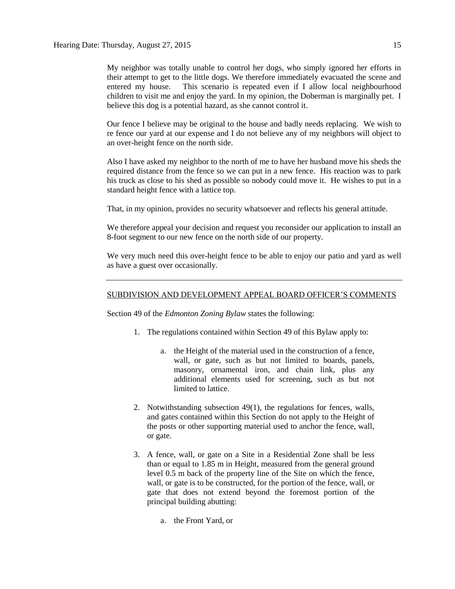My neighbor was totally unable to control her dogs, who simply ignored her efforts in their attempt to get to the little dogs. We therefore immediately evacuated the scene and entered my house. This scenario is repeated even if I allow local neighbourhood children to visit me and enjoy the yard. In my opinion, the Doberman is marginally pet. I believe this dog is a potential hazard, as she cannot control it.

Our fence I believe may be original to the house and badly needs replacing. We wish to re fence our yard at our expense and I do not believe any of my neighbors will object to an over-height fence on the north side.

Also I have asked my neighbor to the north of me to have her husband move his sheds the required distance from the fence so we can put in a new fence. His reaction was to park his truck as close to his shed as possible so nobody could move it. He wishes to put in a standard height fence with a lattice top.

That, in my opinion, provides no security whatsoever and reflects his general attitude.

We therefore appeal your decision and request you reconsider our application to install an 8-foot segment to our new fence on the north side of our property.

We very much need this over-height fence to be able to enjoy our patio and yard as well as have a guest over occasionally.

## SUBDIVISION AND DEVELOPMENT APPEAL BOARD OFFICER'S COMMENTS

Section 49 of the *Edmonton Zoning Bylaw* states the following:

- 1. The regulations contained within Section 49 of this Bylaw apply to:
	- a. the Height of the material used in the construction of a fence, wall, or gate, such as but not limited to boards, panels, masonry, ornamental iron, and chain link, plus any additional elements used for screening, such as but not limited to lattice.
- 2. Notwithstanding subsection 49(1), the regulations for fences, walls, and gates contained within this Section do not apply to the Height of the posts or other supporting material used to anchor the fence, wall, or gate.
- 3. A fence, wall, or gate on a Site in a Residential Zone shall be less than or equal to 1.85 m in Height, measured from the general ground level 0.5 m back of the property line of the Site on which the fence, wall, or gate is to be constructed, for the portion of the fence, wall, or gate that does not extend beyond the foremost portion of the principal building abutting:
	- a. the Front Yard, or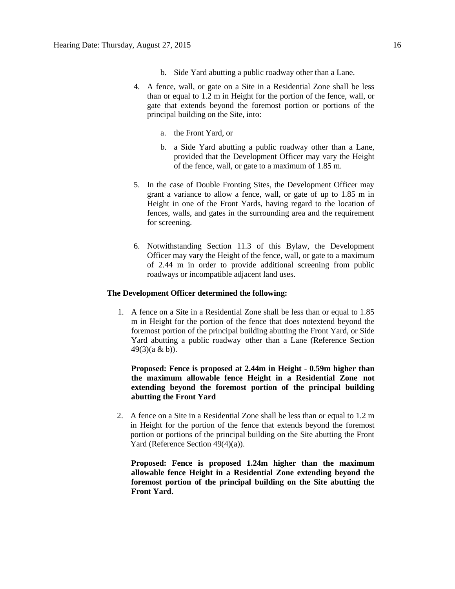- b. Side Yard abutting a public roadway other than a Lane.
- 4. A fence, wall, or gate on a Site in a Residential Zone shall be less than or equal to 1.2 m in Height for the portion of the fence, wall, or gate that extends beyond the foremost portion or portions of the principal building on the Site, into:
	- a. the Front Yard, or
	- b. a Side Yard abutting a public roadway other than a Lane, provided that the Development Officer may vary the Height of the fence, wall, or gate to a maximum of 1.85 m.
- 5. In the case of Double Fronting Sites, the Development Officer may grant a variance to allow a fence, wall, or gate of up to 1.85 m in Height in one of the Front Yards, having regard to the location of fences, walls, and gates in the surrounding area and the requirement for screening.
- 6. Notwithstanding Section 11.3 of this Bylaw, the Development Officer may vary the Height of the fence, wall, or gate to a maximum of 2.44 m in order to provide additional screening from public roadways or incompatible adjacent land uses.

## **The Development Officer determined the following:**

1. A fence on a Site in a Residential Zone shall be less than or equal to 1.85 m in Height for the portion of the fence that does notextend beyond the foremost portion of the principal building abutting the Front Yard, or Side Yard abutting a public roadway other than a Lane (Reference Section 49(3)(a & b)).

**Proposed: Fence is proposed at 2.44m in Height - 0.59m higher than the maximum allowable fence Height in a Residential Zone not extending beyond the foremost portion of the principal building abutting the Front Yard**

2. A fence on a Site in a Residential Zone shall be less than or equal to 1.2 m in Height for the portion of the fence that extends beyond the foremost portion or portions of the principal building on the Site abutting the Front Yard (Reference Section 49(4)(a)).

**Proposed: Fence is proposed 1.24m higher than the maximum allowable fence Height in a Residential Zone extending beyond the foremost portion of the principal building on the Site abutting the Front Yard.**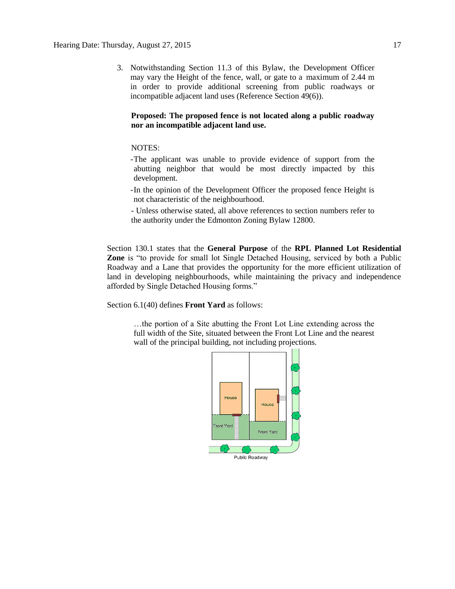3. Notwithstanding Section 11.3 of this Bylaw, the Development Officer may vary the Height of the fence, wall, or gate to a maximum of 2.44 m in order to provide additional screening from public roadways or incompatible adjacent land uses (Reference Section 49(6)).

# **Proposed: The proposed fence is not located along a public roadway nor an incompatible adjacent land use.**

# NOTES:

- -The applicant was unable to provide evidence of support from the abutting neighbor that would be most directly impacted by this development.
- -In the opinion of the Development Officer the proposed fence Height is not characteristic of the neighbourhood.
- Unless otherwise stated, all above references to section numbers refer to the authority under the Edmonton Zoning Bylaw 12800.

Section 130.1 states that the **General Purpose** of the **RPL Planned Lot Residential Zone** is "to provide for small lot Single Detached Housing, serviced by both a Public Roadway and a Lane that provides the opportunity for the more efficient utilization of land in developing neighbourhoods, while maintaining the privacy and independence afforded by Single Detached Housing forms."

Section 6.1(40) defines **Front Yard** as follows:

…the portion of a Site abutting the Front Lot Line extending across the full width of the Site, situated between the Front Lot Line and the nearest wall of the principal building, not including projections.

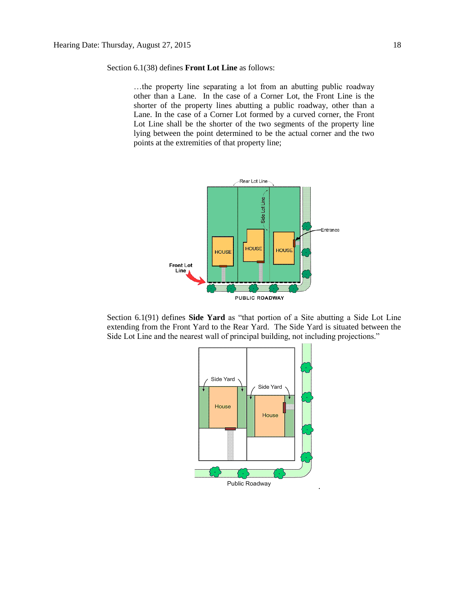Section 6.1(38) defines **Front Lot Line** as follows:

…the property line separating a lot from an abutting public roadway other than a Lane. In the case of a Corner Lot, the Front Line is the shorter of the property lines abutting a public roadway, other than a Lane. In the case of a Corner Lot formed by a curved corner, the Front Lot Line shall be the shorter of the two segments of the property line lying between the point determined to be the actual corner and the two points at the extremities of that property line;



Section 6.1(91) defines **Side Yard** as "that portion of a Site abutting a Side Lot Line extending from the Front Yard to the Rear Yard. The Side Yard is situated between the Side Lot Line and the nearest wall of principal building, not including projections."

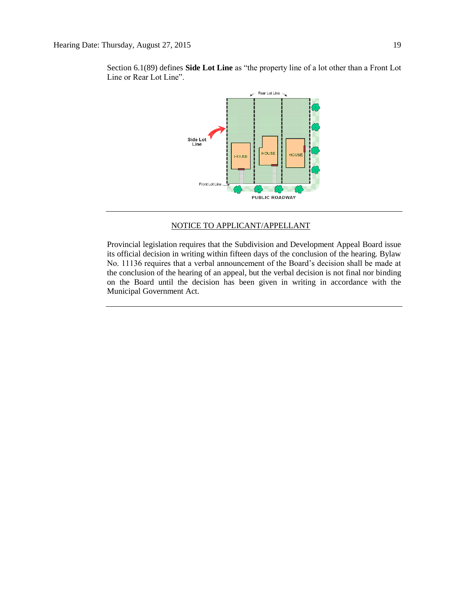

Section 6.1(89) defines **Side Lot Line** as "the property line of a lot other than a Front Lot Line or Rear Lot Line".

# NOTICE TO APPLICANT/APPELLANT

Provincial legislation requires that the Subdivision and Development Appeal Board issue its official decision in writing within fifteen days of the conclusion of the hearing. Bylaw No. 11136 requires that a verbal announcement of the Board's decision shall be made at the conclusion of the hearing of an appeal, but the verbal decision is not final nor binding on the Board until the decision has been given in writing in accordance with the Municipal Government Act.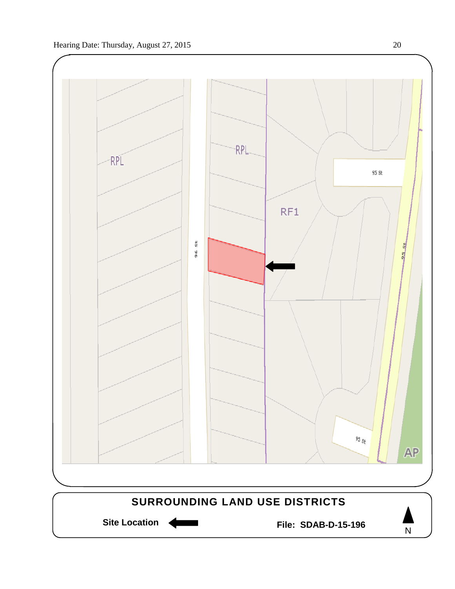